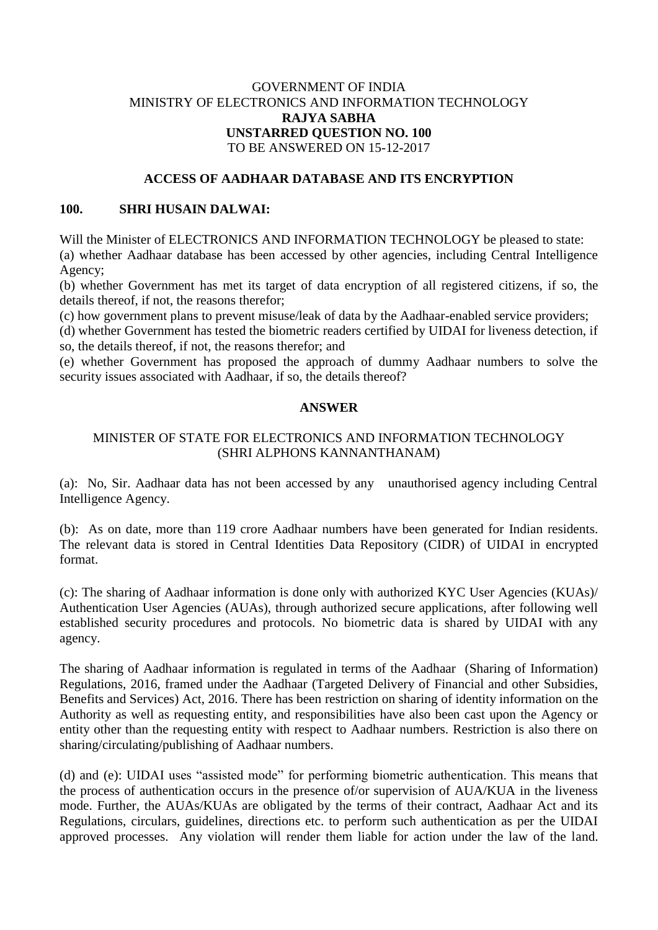# GOVERNMENT OF INDIA MINISTRY OF ELECTRONICS AND INFORMATION TECHNOLOGY **RAJYA SABHA UNSTARRED QUESTION NO. 100** TO BE ANSWERED ON 15-12-2017

# **ACCESS OF AADHAAR DATABASE AND ITS ENCRYPTION**

# **100. SHRI HUSAIN DALWAI:**

Will the Minister of ELECTRONICS AND INFORMATION TECHNOLOGY be pleased to state: (a) whether Aadhaar database has been accessed by other agencies, including Central Intelligence Agency;

(b) whether Government has met its target of data encryption of all registered citizens, if so, the details thereof, if not, the reasons therefor;

(c) how government plans to prevent misuse/leak of data by the Aadhaar-enabled service providers;

(d) whether Government has tested the biometric readers certified by UIDAI for liveness detection, if so, the details thereof, if not, the reasons therefor; and

(e) whether Government has proposed the approach of dummy Aadhaar numbers to solve the security issues associated with Aadhaar, if so, the details thereof?

#### **ANSWER**

# MINISTER OF STATE FOR ELECTRONICS AND INFORMATION TECHNOLOGY (SHRI ALPHONS KANNANTHANAM)

(a): No, Sir. Aadhaar data has not been accessed by any unauthorised agency including Central Intelligence Agency.

(b): As on date, more than 119 crore Aadhaar numbers have been generated for Indian residents. The relevant data is stored in Central Identities Data Repository (CIDR) of UIDAI in encrypted format.

(c): The sharing of Aadhaar information is done only with authorized KYC User Agencies (KUAs)/ Authentication User Agencies (AUAs), through authorized secure applications, after following well established security procedures and protocols. No biometric data is shared by UIDAI with any agency.

The sharing of Aadhaar information is regulated in terms of the Aadhaar [\(Sharing of Information\)](https://uidai.gov.in/images/regulation_1_to_5_15092016.pdf)  [Regulations, 2016,](https://uidai.gov.in/images/regulation_1_to_5_15092016.pdf) framed under the Aadhaar (Targeted Delivery of Financial and other Subsidies, Benefits and Services) Act, 2016. There has been restriction on sharing of identity information on the Authority as well as requesting entity, and responsibilities have also been cast upon the Agency or entity other than the requesting entity with respect to Aadhaar numbers. Restriction is also there on sharing/circulating/publishing of Aadhaar numbers.

(d) and (e): UIDAI uses "assisted mode" for performing biometric authentication. This means that the process of authentication occurs in the presence of/or supervision of AUA/KUA in the liveness mode. Further, the AUAs/KUAs are obligated by the terms of their contract, Aadhaar Act and its Regulations, circulars, guidelines, directions etc. to perform such authentication as per the UIDAI approved processes. Any violation will render them liable for action under the law of the land.